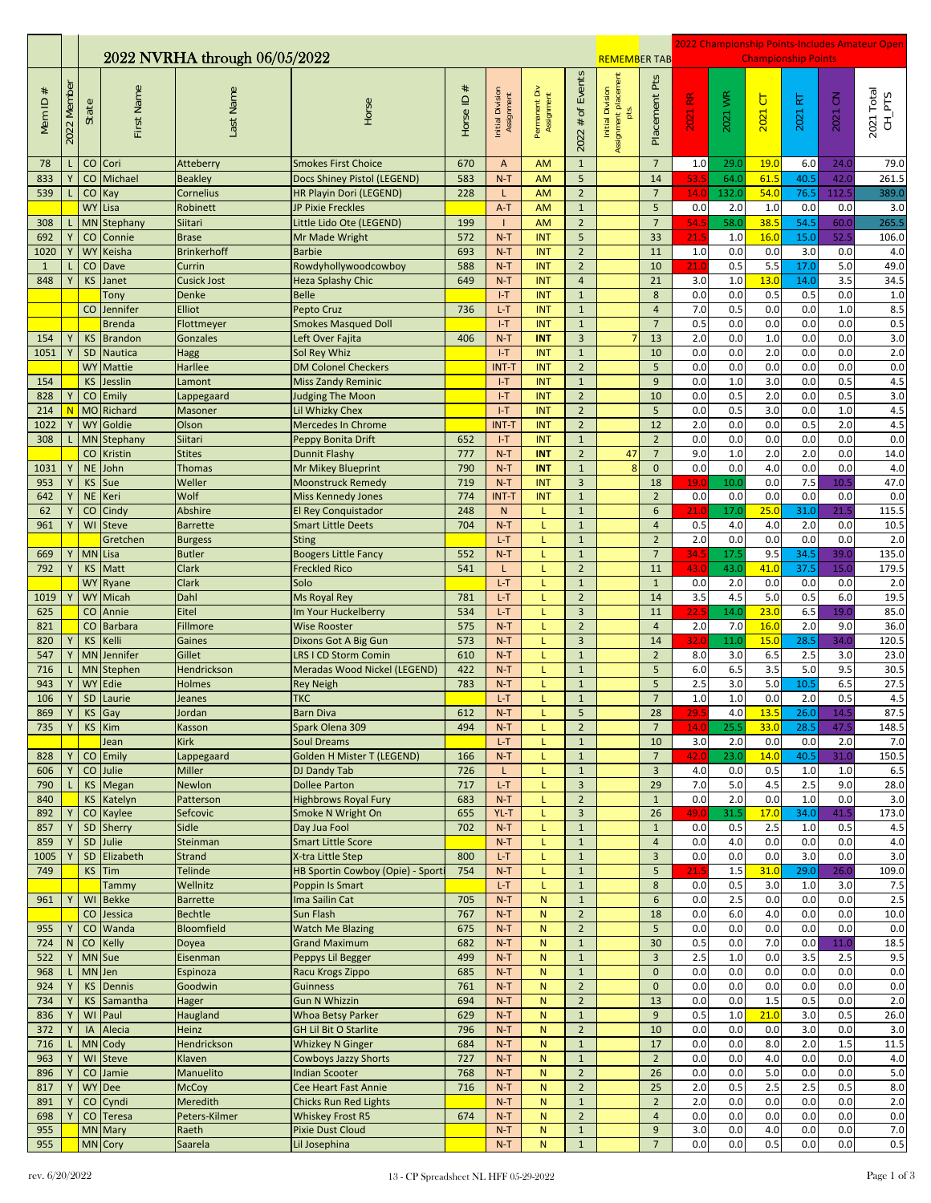|                   |             |                        |                         |                                    |                                                             |              |                                |                             |                                         |                                                  |                         | 2022 Championship Points-Includes Amateur Open |              |                            |              |                    |                                    |  |
|-------------------|-------------|------------------------|-------------------------|------------------------------------|-------------------------------------------------------------|--------------|--------------------------------|-----------------------------|-----------------------------------------|--------------------------------------------------|-------------------------|------------------------------------------------|--------------|----------------------------|--------------|--------------------|------------------------------------|--|
|                   |             |                        |                         | 2022 NVRHA through 06/05/2022      |                                                             |              |                                |                             |                                         | <b>REMEMBER TAB</b>                              |                         |                                                |              | <b>Championship Points</b> |              |                    |                                    |  |
| Mem <sub>ID</sub> | 2022 Member | State                  | First Name              | Last Name                          | Horse                                                       | Horse ID $#$ | Initial Division<br>Assignment | Permanent Div<br>Assignment | # of Events<br>2022                     | Initial Division<br>Assignment placement<br>pts. | Pts<br>Placement        | $\mathop{\mathbf{E}}$<br>2021                  | 2021 WR      | $\overline{5}$<br>2021     | ΙZ<br>2021   | $\lesssim$<br>2021 | 2021 Total<br>$CH$ <sub>-PTS</sub> |  |
| 78<br>833         | Y           | CO<br>CO               | Cori<br>Michael         | Atteberry                          | <b>Smokes First Choice</b><br>Docs Shiney Pistol (LEGEND)   | 670<br>583   | A<br>$N-T$                     | <b>AM</b><br><b>AM</b>      | $\mathbf{1}$<br>5                       |                                                  | $\overline{7}$<br>14    | 1.0<br>53.5                                    | 29.0<br>64.0 | 19.0<br>61.5               | 6.0<br>40.5  | 24.0<br>42.0       | 79.0<br>261.5                      |  |
| 539               | L           | $\mathsf{CO}$          | Kay                     | <b>Beakley</b><br><b>Cornelius</b> | HR Playin Dori (LEGEND)                                     | 228          | L                              | <b>AM</b>                   | $\overline{2}$                          |                                                  | $\overline{7}$          | 14.0                                           | 132.0        | 54.0                       | 76.5         | 112.5              | 389.0                              |  |
|                   |             | <b>WY</b>              | Lisa                    | Robinett                           | JP Pixie Freckles                                           |              | $A-T$                          | <b>AM</b>                   | $\mathbf{1}$                            |                                                  | 5                       | 0.0                                            | 2.0          | 1.0                        | 0.0          | 0.0                | 3.0                                |  |
| 308               |             | <b>MN</b>              | Stephany                | Siitari                            | Little Lido Ote (LEGEND)                                    | 199          |                                | <b>AM</b>                   | $\overline{2}$                          |                                                  | $\overline{7}$          | 54.5                                           | 58.0         | 38.5                       | 54.5         | 60.0               | 265.5                              |  |
| 692               | Υ           | CO                     | Connie                  | <b>Brase</b>                       | Mr Made Wright                                              | 572          | $N-T$                          | <b>INT</b>                  | 5                                       |                                                  | 33                      | 21.5                                           | 1.0          | 16.0                       | 15.0         | 52.5               | 106.0                              |  |
| 1020              | Y           | <b>WY</b>              | Keisha                  | <b>Brinkerhoff</b>                 | <b>Barbie</b>                                               | 693          | $N-T$                          | INT                         | $\overline{2}$                          |                                                  | 11                      | 1.0                                            | 0.0          | 0.0                        | 3.0          | 0.0                | 4.0                                |  |
| <sup>1</sup>      | L           | CO                     | Dave                    | Currin                             | Rowdyhollywoodcowboy                                        | 588          | $N-T$                          | INT                         | $\overline{2}$                          |                                                  | 10                      | 21.0                                           | 0.5          | 5.5                        | 17.0         | 5.0                | 49.0                               |  |
| 848               | Y           | KS                     | Janet<br>Tony           | Cusick Jost<br>Denke               | <b>Heza Splashy Chic</b><br><b>Belle</b>                    | 649          | $N-T$<br>$I-T$                 | <b>INT</b><br>INT           | $\overline{4}$<br>$\mathbf{1}$          |                                                  | 21<br>8                 | 3.0<br>0.0                                     | 1.0<br>0.0   | 13.0<br>0.5                | 14.0<br>0.5  | 3.5<br>0.0         | 34.5<br>1.0                        |  |
|                   |             | $\rm CO$               | Jennifer                | <b>Elliot</b>                      | Pepto Cruz                                                  | 736          | $L-T$                          | <b>INT</b>                  | $\mathbf{1}$                            |                                                  | $\overline{4}$          | 7.0                                            | 0.5          | 0.0                        | 0.0          | 1.0                | 8.5                                |  |
|                   |             |                        | <b>Brenda</b>           | Flottmeyer                         | <b>Smokes Masqued Doll</b>                                  |              | $I-T$                          | <b>INT</b>                  | $1\,$                                   |                                                  | $\overline{7}$          | 0.5                                            | 0.0          | 0.0                        | 0.0          | 0.0                | 0.5                                |  |
| 154               | Y           | <b>KS</b>              | <b>Brandon</b>          | Gonzales                           | Left Over Fajita                                            | 406          | $N-T$                          | <b>INT</b>                  | $\overline{3}$                          |                                                  | 13                      | 2.0                                            | 0.0          | $1.0$                      | 0.0          | 0.0                | 3.0                                |  |
| 1051              | Y           | SD                     | <b>Nautica</b>          | Hagg                               | Sol Rey Whiz                                                |              | $I-T$                          | INT                         | $\mathbf{1}$                            |                                                  | 10                      | 0.0                                            | 0.0          | 2.0                        | 0.0          | 0.0                | 2.0                                |  |
| 154               |             | <b>WY</b><br><b>KS</b> | Mattie<br>Jesslin       | Harllee                            | <b>DM Colonel Checkers</b>                                  |              | <b>INT-T</b><br>$I-T$          | <b>INT</b><br>INT           | $\overline{2}$<br>$\mathbf{1}$          |                                                  | 5<br>$\overline{9}$     | 0.0<br>0.0                                     | 0.0<br>1.0   | 0.0<br>3.0                 | 0.0<br>0.0   | 0.0<br>0.5         | 0.0<br>4.5                         |  |
| 828               | Υ           | CO                     | Emily                   | Lamont<br>Lappegaard               | <b>Miss Zandy Reminic</b><br><b>Judging The Moon</b>        |              | $I-T$                          | <b>INT</b>                  | $\overline{2}$                          |                                                  | 10                      | 0.0                                            | 0.5          | 2.0                        | 0.0          | 0.5                | 3.0                                |  |
| 214               | N           |                        | MO Richard              | Masoner                            | Lil Whizky Chex                                             |              | $I-T$                          | <b>INT</b>                  | $\overline{2}$                          |                                                  | 5                       | 0.0                                            | 0.5          | 3.0                        | 0.0          | 1.0                | 4.5                                |  |
| 1022              | Y           | <b>WY</b>              | Goldie                  | Olson                              | <b>Mercedes In Chrome</b>                                   |              | <b>INT-T</b>                   | INT                         | $\mathbf 2$                             |                                                  | 12                      | 2.0                                            | 0.0          | 0.0                        | 0.5          | 2.0                | 4.5                                |  |
| 308               | L           | <b>MN</b>              | Stephany                | Siitari                            | Peppy Bonita Drift                                          | 652          | $I-T$                          | <b>INT</b>                  | $\mathbf{1}$                            |                                                  | $\overline{2}$          | 0.0                                            | 0.0          | 0.0                        | 0.0          | 0.0                | 0.0                                |  |
|                   |             | CO                     | Kristin                 | <b>Stites</b>                      | <b>Dunnit Flashy</b>                                        | 777          | $N-T$                          | <b>INT</b>                  | $\overline{2}$                          | 47                                               | $\overline{7}$          | 9.0                                            | 1.0          | 2.0                        | 2.0          | 0.0                | 14.0                               |  |
| 1031<br>953       | Υ<br>Y      | <b>NE</b><br><b>KS</b> | John<br>Sue             | <b>Thomas</b><br>Weller            | <b>Mr Mikey Blueprint</b><br><b>Moonstruck Remedy</b>       | 790<br>719   | $N-T$<br>$N-T$                 | <b>INT</b><br><b>INT</b>    | $\mathbf{1}$<br>$\overline{3}$          | 8                                                | $\mathbf{0}$<br>18      | 0.0<br>19.0                                    | 0.0<br>10.0  | 4.0<br>0.0                 | 0.0<br>7.5   | 0.0<br>10.         | 4.0<br>47.0                        |  |
| 642               |             | <b>NE</b>              | Keri                    | Wolf                               | <b>Miss Kennedy Jones</b>                                   | 774          | <b>INT-T</b>                   | <b>INT</b>                  | $\mathbf{1}$                            |                                                  | $\overline{2}$          | 0.0                                            | 0.0          | 0.0                        | 0.0          | 0.0                | 0.0                                |  |
| 62                | Y           | CO                     | Cindy                   | Abshire                            | <b>El Rey Conquistador</b>                                  | 248          | ${\sf N}$                      | L                           | $\mathbf{1}$                            |                                                  | 6                       | 21.0                                           | 17.0         | 25.0                       | 31.0         | 21.5               | 115.5                              |  |
| 961               | Y           | WI                     | <b>Steve</b>            | <b>Barrette</b>                    | <b>Smart Little Deets</b>                                   | 704          | $N-T$                          | L                           | $\mathbf{1}$                            |                                                  | $\overline{4}$          | 0.5                                            | 4.0          | 4.0                        | 2.0          | 0.0                | 10.5                               |  |
|                   |             |                        | Gretchen                | <b>Burgess</b>                     | <b>Sting</b>                                                |              | $L-T$                          | L                           | $\mathbf{1}$                            |                                                  | $\overline{2}$          | 2.0                                            | 0.0          | 0.0                        | 0.0          | 0.0                | 2.0                                |  |
| 669<br>792        | Y<br>Y      | <b>MN</b><br><b>KS</b> | Lisa<br>Matt            | <b>Butler</b><br>Clark             | <b>Boogers Little Fancy</b><br><b>Freckled Rico</b>         | 552<br>541   | $N-T$<br>L                     | L<br>L                      | $\mathbf{1}$<br>$\overline{2}$          |                                                  | $\overline{7}$<br>11    | 34.5<br>43.C                                   | 17.5<br>43.0 | 9.5<br>41.0                | 34.5<br>37.5 | 39.0<br>15.0       | 135.0<br>179.5                     |  |
|                   |             | <b>WY</b>              | Ryane                   | Clark                              | Solo                                                        |              | $L-T$                          | L                           | $\mathbf{1}$                            |                                                  | $\mathbf{1}$            | 0.0                                            | 2.0          | 0.0                        | 0.0          | 0.0                | 2.0                                |  |
| 1019              | Y           | <b>WY</b>              | Micah                   | Dahl                               | Ms Royal Rey                                                | 781          | $L-T$                          | L                           | $\overline{2}$                          |                                                  | 14                      | 3.5                                            | 4.5          | 5.0                        | 0.5          | 6.0                | 19.5                               |  |
| 625               |             | $\mathsf{CO}$          | Annie                   | Eitel                              | m Your Huckelberry                                          | 534          | $L-T$                          | L                           | $\overline{3}$                          |                                                  | 11                      | 22.5                                           | 14.0         | 23.0                       | 6.5          | 19.0               | 85.0                               |  |
| 821               |             | CO                     | <b>Barbara</b>          | <b>Fillmore</b>                    | <b>Wise Rooster</b>                                         | 575          | $N-T$                          | L                           | $\overline{2}$                          |                                                  | $\overline{4}$          | 2.0                                            | 7.0          | 16.0                       | 2.0          | 9.0                | 36.0                               |  |
| 820               | Υ<br>Y      | <b>KS</b>              | Kelli<br>Jennifer       | Gaines                             | Dixons Got A Big Gun                                        | 573          | $N-T$                          | L                           | $\overline{3}$                          |                                                  | 14                      | 32.0                                           | 11.0         | 15.0                       | 28.5         | 34.0               | 120.5                              |  |
| 547<br>716        |             | <b>MN</b><br><b>MN</b> | Stephen                 | Gillet<br><b>Hendrickson</b>       | <b>LRS I CD Storm Comin</b><br>Meradas Wood Nickel (LEGEND) | 610<br>422   | $N-T$<br>$N-T$                 | L<br>L                      | $\mathbf 1$<br>$\mathbf{1}$             |                                                  | $\overline{2}$<br>5     | 8.0<br>6.0                                     | 3.0<br>6.5   | 6.5<br>3.5                 | 2.5<br>5.0   | 3.0<br>9.5         | 23.0<br>30.5                       |  |
| 943               |             | <b>WY</b>              | Edie                    | <b>Holmes</b>                      | Rey Neigh                                                   | 783          | $N-T$                          | L                           | $\mathbf 1$                             |                                                  | 5                       | 2.5                                            | 3.0          | 5.0                        | 10.5         | 6.5                | 27.5                               |  |
| 106               | Υ           | <b>SD</b>              | Laurie                  | Jeanes                             | <b>TKC</b>                                                  |              | $L-T$                          | L                           | $\mathbf{1}$                            |                                                  | $\overline{7}$          | 1.0                                            | 1.0          | 0.0                        | 2.0          | 0.5                | 4.5                                |  |
| 869               | Y           | <b>KS</b>              | Gay                     | Jordan                             | <b>Barn Diva</b>                                            | 612          | $N-T$                          | L                           | 5                                       |                                                  | 28                      | 29.5                                           | 4.0          | 13.5                       | 26.0         | 14.5               | 87.5                               |  |
| 735               | Υ           | <b>KS</b>              | Kim<br>Jean             | Kasson<br><b>Kirk</b>              | Spark Olena 309<br><b>Soul Dreams</b>                       | 494          | $N-T$<br>$L-T$                 | L<br>L                      | $\overline{2}$<br>$\mathbf{1}$          |                                                  | $\overline{7}$<br>10    | 14.0<br>3.0                                    | 25.5<br>2.0  | 33.0<br>0.0                | 28.5<br>0.0  | 47.5<br>2.0        | 148.5<br>7.0                       |  |
| 828               |             | CO                     | Emily                   | Lappegaard                         | Golden H Mister T (LEGEND)                                  | 166          | $N-T$                          | L                           | $\mathbf{1}$                            |                                                  | $\overline{7}$          | 42.0                                           | 23.0         | 14.0                       | 40.5         | 31.0               | 150.5                              |  |
| 606               |             | CO                     | Julie                   | Miller                             | DJ Dandy Tab                                                | 726          | L                              | L.                          | $\mathbf{1}$                            |                                                  | $\overline{\mathbf{3}}$ | 4.0                                            | 0.0          | 0.5                        | 1.0          | 1.0                | 6.5                                |  |
| 790               |             | <b>KS</b>              | Megan                   | Newlon                             | <b>Dollee Parton</b>                                        | 717          | $L-T$                          | L                           | $\overline{3}$                          |                                                  | 29                      | 7.0                                            | 5.0          | 4.5                        | 2.5          | 9.0                | 28.0                               |  |
| 840               |             | <b>KS</b>              | Katelyn                 | Patterson                          | <b>Highbrows Royal Fury</b>                                 | 683          | $N-T$                          | L                           | $\overline{2}$                          |                                                  | $\mathbf 1$             | 0.0                                            | 2.0          | 0.0                        | $1.0$        | 0.0                | 3.0                                |  |
| 892<br>857        |             | CO<br>SD               | Kaylee<br>Sherry        | Sefcovic<br>Sidle                  | Smoke N Wright On<br>Day Jua Fool                           | 655<br>702   | YL-T<br>$N-T$                  | L<br>L                      | $\overline{\mathbf{3}}$<br>$\mathbf{1}$ |                                                  | 26<br>$\mathbf{1}$      | 49.0<br>0.0                                    | 31.5<br>0.5  | 17.0<br>2.5                | 34.0<br>1.0  | 41.5<br>0.5        | 173.0<br>4.5                       |  |
| 859               |             | SD                     | Julie                   | Steinman                           | <b>Smart Little Score</b>                                   |              | $N-T$                          | L                           | $\mathbf{1}$                            |                                                  | $\overline{4}$          | 0.0                                            | 4.0          | 0.0                        | 0.0          | 0.0                | 4.0                                |  |
| 1005              |             | SD                     | Elizabeth               | <b>Strand</b>                      | X-tra Little Step                                           | 800          | L-T                            | L                           | $\mathbf{1}$                            |                                                  | $\overline{\mathbf{3}}$ | 0.0                                            | 0.0          | 0.0                        | 3.0          | 0.0                | 3.0                                |  |
| 749               |             | <b>KS</b>              | Tim                     | Telinde                            | HB Sportin Cowboy (Opie) - Sport                            | 754          | $N-T$                          | L                           | $\mathbf 1$                             |                                                  | 5                       | 21.5                                           | 1.5          | 31.0                       | 29.0         | 26.0               | 109.0                              |  |
|                   |             |                        | Tammy                   | Wellnitz                           | Poppin Is Smart                                             |              | $L-T$                          | L                           | $\mathbf{1}$                            |                                                  | 8                       | 0.0                                            | 0.5          | 3.0                        | $1.0\,$      | 3.0                | 7.5                                |  |
| 961               | Υ           | WI<br>CO               | <b>Bekke</b><br>Jessica | <b>Barrette</b><br><b>Bechtle</b>  | Ima Sailin Cat<br>Sun Flash                                 | 705<br>767   | $N-T$<br>$N-T$                 | ${\sf N}$<br>$\mathsf{N}$   | $1\,$<br>$\overline{2}$                 |                                                  | $6\,$<br>18             | 0.0<br>0.0                                     | 2.5<br>6.0   | 0.0<br>4.0                 | 0.0<br>0.0   | 0.0<br>0.0         | 2.5<br>10.0                        |  |
| 955               |             | CO                     | Wanda                   | <b>Bloomfield</b>                  | <b>Watch Me Blazing</b>                                     | 675          | $N-T$                          | N                           | $\overline{2}$                          |                                                  | 5                       | 0.0                                            | 0.0          | 0.0                        | 0.0          | 0.0                | 0.0                                |  |
| 724               | N           | CO                     | Kelly                   | Doyea                              | <b>Grand Maximum</b>                                        | 682          | $N-T$                          | N                           | $\mathbf{1}$                            |                                                  | 30                      | 0.5                                            | 0.0          | 7.0                        | 0.0          | 11.0               | 18.5                               |  |
| 522               |             |                        | MN Sue                  | Eisenman                           | Peppys Lil Begger                                           | 499          | $N-T$                          | N                           | $\mathbf 1$                             |                                                  | $\overline{3}$          | 2.5                                            | $1.0$        | 0.0                        | 3.5          | 2.5                | 9.5                                |  |
| 968               |             |                        | MN Jen                  | Espinoza                           | Racu Krogs Zippo                                            | 685          | $N-T$                          | $\mathsf{N}$                | $\mathbf{1}$                            |                                                  | $\mathbf{0}$            | 0.0                                            | 0.0          | 0.0                        | 0.0          | 0.0                | 0.0                                |  |
| 924<br>734        |             | <b>KS</b><br><b>KS</b> | Dennis<br>Samantha      | Goodwin<br>Hager                   | <b>Guinness</b><br><b>Gun N Whizzin</b>                     | 761<br>694   | $N-T$<br>$N-T$                 | N<br>${\sf N}$              | $\overline{2}$<br>$\overline{2}$        |                                                  | $\mathbf{0}$<br>13      | 0.0<br>0.0                                     | 0.0<br>0.0   | 0.0<br>1.5                 | 0.0<br>0.5   | 0.0<br>0.0         | 0.0<br>2.0                         |  |
| 836               | Υ           | WI                     | Paul                    | Haugland                           | <b>Whoa Betsy Parker</b>                                    | 629          | $N-T$                          | $\mathsf{N}$                | $\mathbf{1}$                            |                                                  | 9                       | 0.5                                            | 1.0          | 21.0                       | 3.0          | 0.5                | 26.0                               |  |
| 372               |             | IA                     | Alecia                  | Heinz                              | <b>GH Lil Bit O Starlite</b>                                | 796          | $N-T$                          | $\mathsf{N}$                | $\overline{2}$                          |                                                  | 10                      | 0.0                                            | 0.0          | 0.0                        | 3.0          | 0.0                | 3.0                                |  |
| 716               |             | <b>MN</b>              | Cody                    | Hendrickson                        | <b>Whizkey N Ginger</b>                                     | 684          | $N-T$                          | N                           | $\mathbf 1$                             |                                                  | 17                      | 0.0                                            | 0.0          | 8.0                        | 2.0          | 1.5                | 11.5                               |  |
| 963               |             | WI                     | <b>Steve</b>            | Klaven                             | <b>Cowboys Jazzy Shorts</b>                                 | 727          | $N-T$                          | $\mathsf{N}$                | $\mathbf{1}$                            |                                                  | $\overline{2}$          | 0.0                                            | 0.0          | 4.0                        | 0.0          | 0.0                | 4.0                                |  |
| 896<br>817        | Υ           | $\mathsf{CO}$          | Jamie<br>WY Dee         | Manuelito<br><b>McCoy</b>          | <b>Indian Scooter</b><br>Cee Heart Fast Annie               | 768<br>716   | $N-T$<br>$N-T$                 | ${\sf N}$<br>N              | $\overline{2}$<br>$\overline{2}$        |                                                  | 26<br>25                | 0.0<br>2.0                                     | 0.0<br>0.5   | 5.0<br>2.5                 | 0.0<br>2.5   | 0.0<br>0.5         | 5.0<br>8.0                         |  |
| 891               |             | CO                     | Cyndi                   | <b>Meredith</b>                    | <b>Chicks Run Red Lights</b>                                |              | $N-T$                          | $\mathsf{N}$                | $\mathbf{1}$                            |                                                  | $\overline{2}$          | 2.0                                            | 0.0          | 0.0                        | 0.0          | 0.0                | 2.0                                |  |
| 698               |             | CO                     | <b>Teresa</b>           | Peters-Kilmer                      | <b>Whiskey Frost R5</b>                                     | 674          | $N-T$                          | N                           | $\overline{2}$                          |                                                  | $\overline{4}$          | 0.0                                            | 0.0          | 0.0                        | 0.0          | 0.0                | 0.0                                |  |
| 955               |             |                        | MN Mary                 | Raeth                              | <b>Pixie Dust Cloud</b>                                     |              | $N-T$                          | N                           | $1\,$                                   |                                                  | $\boldsymbol{9}$        | 3.0                                            | 0.0          | 4.0                        | 0.0          | 0.0                | 7.0                                |  |
| 955               |             |                        | MN Cory                 | Saarela                            | Lil Josephina                                               |              | $N-T$                          | ${\sf N}$                   | $\mathbf 1$                             |                                                  | $\overline{7}$          | 0.0                                            | 0.0          | 0.5                        | 0.0          | 0.0                | 0.5                                |  |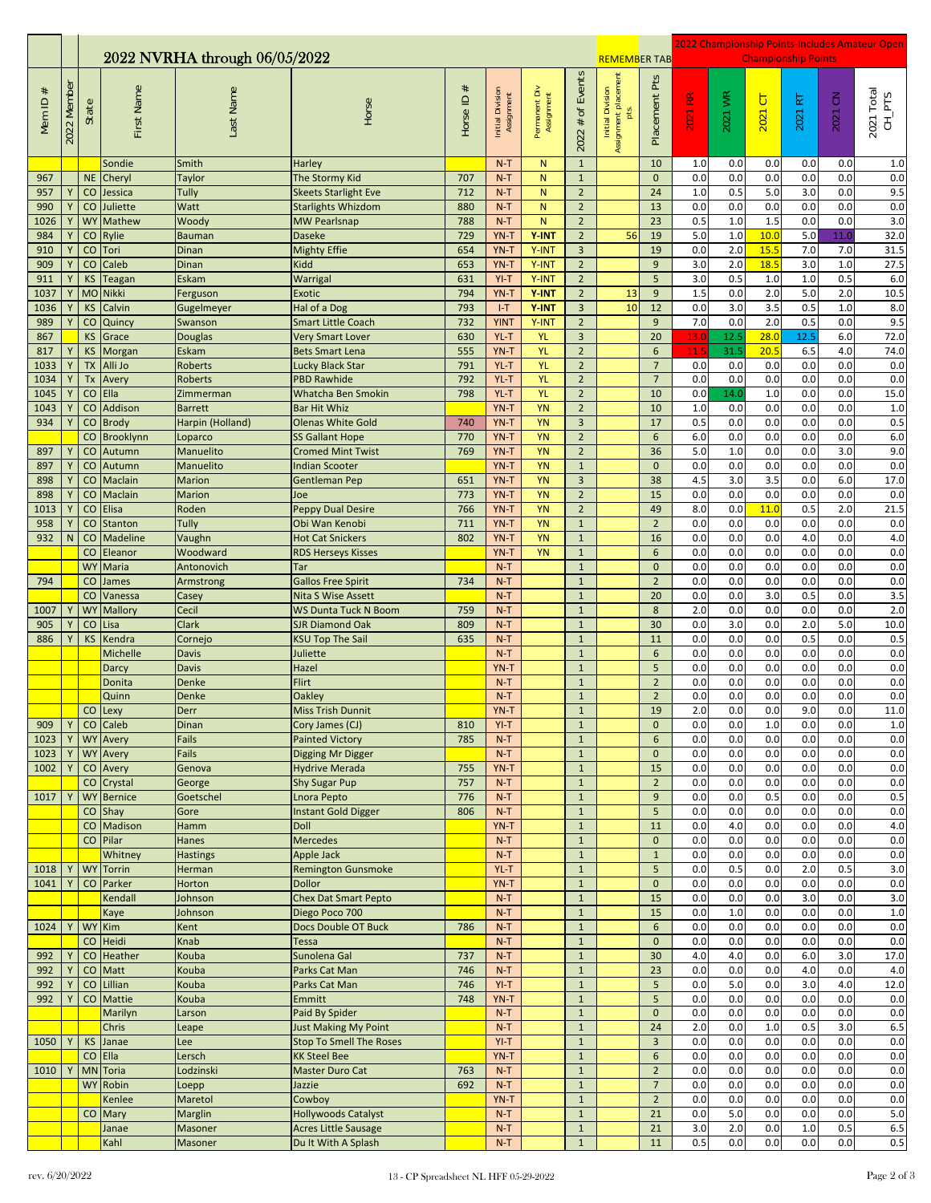|                       |             | 2022 NVRHA through 06/05/2022 |                     |                        |                                                          |                  |                                |                             |                                  |                                                                         |                                  | 2022 Championship Points-Includes Amateur Open<br><b>Championship Points</b> |            |                        |            |                                                  |                                    |  |
|-----------------------|-------------|-------------------------------|---------------------|------------------------|----------------------------------------------------------|------------------|--------------------------------|-----------------------------|----------------------------------|-------------------------------------------------------------------------|----------------------------------|------------------------------------------------------------------------------|------------|------------------------|------------|--------------------------------------------------|------------------------------------|--|
| $^{\rm \#}$<br>Mem ID | 2022 Member | State                         | First Name          | Last Name              | Horse                                                    | $\#$<br>Horse ID | Initial Division<br>Assignment | Permanent Div<br>Assignment | $2022 \#$ of Events              | <b>REMEMBER TAB</b><br>Initial Division<br>Assignment placement<br>pts. | Pts<br>Placement                 | $\underline{\mathbf{x}}$<br>2021                                             | 2021 WR    | $\overline{C}$<br>2021 | RT<br>2021 | $\mathrel{\mathop{\mathbf{S}}}\nolimits$<br>2021 | 2021 Total<br>$CH$ <sub>-PTS</sub> |  |
|                       |             | <b>NE</b>                     | Sondie              | Smith                  | Harley                                                   | 707              | $N-T$<br>$N-T$                 | N.<br>N.                    | $\mathbf 1$<br>$\mathbf{1}$      |                                                                         | 10<br>$\mathbf{0}$               | 1.0<br>0.0                                                                   | 0.0<br>0.0 | 0.0<br>0.0             | 0.0<br>0.0 | 0.0<br>0.0                                       | $1.0$<br>0.0                       |  |
| 967<br>957            | Υ           | CO                            | Cheryl<br>Jessica   | <b>Taylor</b><br>Tully | The Stormy Kid<br><b>Skeets Starlight Eve</b>            | 712              | $N-T$                          | N                           | $\mathbf 2$                      |                                                                         | 24                               | 1.0                                                                          | 0.5        | 5.0                    | 3.0        | 0.0                                              | 9.5                                |  |
| 990                   | Y           | $\mathsf{CO}$                 | Juliette            | Watt                   | <b>Starlights Whizdom</b>                                | 880              | $N-T$                          | N                           | $\overline{2}$                   |                                                                         | 13                               | 0.0                                                                          | 0.0        | 0.0                    | 0.0        | 0.0                                              | 0.0                                |  |
| 1026                  | Y           | <b>WY</b>                     | Mathew              | Woody                  | <b>MW Pearlsnap</b>                                      | 788              | $N-T$                          | N                           | $\overline{2}$                   |                                                                         | 23                               | 0.5                                                                          | 1.0        | 1.5                    | 0.0        | 0.0                                              | 3.0                                |  |
| 984                   | Υ           | CO                            | Rylie               | <b>Bauman</b>          | <b>Daseke</b>                                            | 729              | YN-T                           | Y-INT                       | $\overline{2}$                   | 56                                                                      | 19                               | 5.0                                                                          | 1.0        | 10.0                   | 5.0        | 11.0                                             | 32.0                               |  |
| 910                   | Y           | CO                            | Tori                | Dinan                  | <b>Mighty Effie</b>                                      | 654              | YN-T                           | Y-INT                       | 3                                |                                                                         | 19                               | 0.0                                                                          | 2.0        | 15.5                   | 7.0        | 7.0                                              | 31.5                               |  |
| 909                   | Υ           | CO                            | Caleb               | Dinan                  | <b>Kidd</b>                                              | 653              | YN-T                           | Y-INT                       | $\overline{2}$                   |                                                                         | 9                                | 3.0                                                                          | 2.0        | 18.5                   | 3.0        | 1.0                                              | 27.5                               |  |
| 911                   | Υ           | KS                            | Teagan              | <b>Eskam</b>           | Warrigal                                                 | 631              | $YI-T$                         | Y-INT                       | $\overline{2}$                   |                                                                         | 5                                | 3.0                                                                          | 0.5        | 1.0                    | 1.0        | 0.5                                              | 6.0                                |  |
| 1037                  | Υ           |                               | MO Nikki            | Ferguson               | <b>Exotic</b>                                            | 794              | YN-T                           | Y-INT                       | $\overline{2}$                   | 13                                                                      | 9                                | 1.5                                                                          | 0.0        | 2.0                    | 5.0        | 2.0                                              | 10.5                               |  |
| 1036<br>989           | Υ<br>Υ      | <b>KS</b><br>CO               | Calvin<br>Quincy    | Gugelmeyer<br>Swanson  | Hal of a Dog<br><b>Smart Little Coach</b>                | 793<br>732       | $I-T$<br><b>YINT</b>           | Y-INT<br>Y-INT              | $\overline{3}$<br>$\overline{2}$ | 10                                                                      | 12<br>9                          | 0.0<br>7.0                                                                   | 3.0<br>0.0 | 3.5<br>2.0             | 0.5<br>0.5 | 1.0<br>0.0                                       | 8.0<br>9.5                         |  |
| 867                   |             | KS                            | Grace               | <b>Douglas</b>         | <b>Very Smart Lover</b>                                  | 630              | YL-T                           | <b>YL</b>                   | $\overline{\mathbf{3}}$          |                                                                         | 20                               | 13.0                                                                         | 12.5       | 28.0                   | 12.5       | 6.0                                              | 72.0                               |  |
| 817                   |             | <b>KS</b>                     | Morgan              | Eskam                  | <b>Bets Smart Lena</b>                                   | 555              | YN-T                           | <b>YL</b>                   | $\overline{2}$                   |                                                                         | 6                                | 11.5                                                                         | 31.5       | 20.5                   | 6.5        | 4.0                                              | 74.0                               |  |
| 1033                  |             | <b>ΤΧ</b>                     | Alli Jo             | Roberts                | Lucky Black Star                                         | 791              | YL-T                           | <b>YL</b>                   | $\mathbf 2$                      |                                                                         | $\overline{7}$                   | 0.0                                                                          | 0.0        | 0.0                    | 0.0        | 0.0                                              | 0.0                                |  |
| 1034                  | Υ           | Tx                            | Avery               | <b>Roberts</b>         | <b>PBD Rawhide</b>                                       | 792              | YL-T                           | <b>YL</b>                   | $\overline{2}$                   |                                                                         | $\overline{7}$                   | 0.0                                                                          | 0.0        | 0.0                    | 0.0        | 0.0                                              | 0.0                                |  |
| 1045                  | Υ           | $\mathsf{CO}$                 | Ella                | Zimmerman              | Whatcha Ben Smokin                                       | 798              | YL-T                           | <b>YL</b>                   | $\overline{2}$                   |                                                                         | 10                               | 0.0                                                                          | 14.0       | 1.0                    | 0.0        | 0.0                                              | 15.0                               |  |
| 1043                  |             | CO                            | Addison             | <b>Barrett</b>         | <b>Bar Hit Whiz</b>                                      |                  | YN-T                           | <b>YN</b>                   | $\overline{2}$                   |                                                                         | 10                               | 1.0                                                                          | 0.0        | 0.0                    | 0.0        | 0.0                                              | 1.0                                |  |
| 934                   | Y           | CO                            | <b>Brody</b>        | Harpin (Holland)       | <b>Olenas White Gold</b>                                 | 740              | YN-T                           | <b>YN</b>                   | 3                                |                                                                         | 17                               | 0.5                                                                          | 0.0        | 0.0                    | 0.0        | 0.0                                              | 0.5                                |  |
|                       |             | CO                            | Brooklynn           | Loparco                | <b>SS Gallant Hope</b>                                   | 770              | YN-T                           | YN                          | $\overline{2}$                   |                                                                         | 6                                | 6.0                                                                          | 0.0        | 0.0                    | 0.0        | 0.0                                              | 6.0                                |  |
| 897<br>897            | Υ           | CO<br>CO                      | Autumn              | Manuelito<br>Manuelito | <b>Cromed Mint Twist</b><br><b>Indian Scooter</b>        | 769              | YN-T<br>YN-T                   | YN<br><b>YN</b>             | $\mathbf 2$<br>$\mathbf 1$       |                                                                         | 36<br>$\mathbf 0$                | 5.0<br>0.0                                                                   | 1.0<br>0.0 | 0.0<br>0.0             | 0.0<br>0.0 | 3.0<br>0.0                                       | 9.0<br>0.0                         |  |
| 898                   | Y           | $\mathsf{CO}$                 | Autumn<br>Maclain   | <b>Marion</b>          | Gentleman Pep                                            | 651              | YN-T                           | <b>YN</b>                   | $\overline{3}$                   |                                                                         | 38                               | 4.5                                                                          | 3.0        | 3.5                    | 0.0        | 6.0                                              | 17.0                               |  |
| 898                   | Υ           | $\mathsf{CO}$                 | Maclain             | <b>Marion</b>          | Joe                                                      | 773              | YN-T                           | YN                          | $\overline{2}$                   |                                                                         | 15                               | 0.0                                                                          | 0.0        | 0.0                    | 0.0        | 0.0                                              | 0.0                                |  |
| 1013                  | Υ           | CO                            | Elisa               | Roden                  | <b>Peppy Dual Desire</b>                                 | 766              | YN-T                           | <b>YN</b>                   | $\overline{2}$                   |                                                                         | 49                               | 8.0                                                                          | 0.0        | 11.0                   | 0.5        | 2.0                                              | 21.5                               |  |
| 958                   | Υ           | CO                            | <b>Stanton</b>      | Tully                  | Obi Wan Kenobi                                           | 711              | YN-T                           | <b>YN</b>                   | $1\,$                            |                                                                         | $\overline{2}$                   | 0.0                                                                          | 0.0        | 0.0                    | 0.0        | 0.0                                              | 0.0                                |  |
| 932                   | N           | CO                            | <b>Madeline</b>     | Vaughn                 | <b>Hot Cat Snickers</b>                                  | 802              | YN-T                           | <b>YN</b>                   | $\mathbf 1$                      |                                                                         | 16                               | 0.0                                                                          | 0.0        | 0.0                    | 4.0        | 0.0                                              | 4.0                                |  |
|                       |             | CO                            | Eleanor             | Woodward               | <b>RDS Herseys Kisses</b>                                |                  | YN-T                           | <b>YN</b>                   | $\mathbf{1}$                     |                                                                         | 6                                | 0.0                                                                          | 0.0        | 0.0                    | 0.0        | 0.0                                              | 0.0                                |  |
|                       |             | <b>WY</b>                     | Maria               | Antonovich             | Tar                                                      |                  | $N-T$                          |                             | $1\,$                            |                                                                         | $\mathbf{0}$                     | 0.0                                                                          | 0.0        | 0.0                    | 0.0        | 0.0                                              | 0.0                                |  |
| 794                   |             | CO                            | James               | Armstrong              | <b>Gallos Free Spirit</b>                                | 734              | $N-T$                          |                             | $1\,$                            |                                                                         | $\overline{2}$                   | 0.0                                                                          | 0.0        | 0.0                    | 0.0        | 0.0                                              | 0.0                                |  |
| 1007                  |             | CO<br><b>WY</b>               | Vanessa<br>Mallory  | Casey<br>Cecil         | <b>Nita S Wise Assett</b><br><b>WS Dunta Tuck N Boom</b> | 759              | $N-T$<br>$N-T$                 |                             | $\mathbf 1$<br>$\mathbf 1$       |                                                                         | 20<br>8                          | 0.0<br>2.0                                                                   | 0.0<br>0.0 | 3.0<br>0.0             | 0.5<br>0.0 | 0.0<br>0.0                                       | $\overline{3.5}$<br>2.0            |  |
| 905                   |             | CO                            | Lisa                | Clark                  | <b>SJR Diamond Oak</b>                                   | 809              | $N-T$                          |                             | $\mathbf 1$                      |                                                                         | 30                               | 0.0                                                                          | 3.0        | 0.0                    | 2.0        | 5.0                                              | 10.0                               |  |
| 886                   | Υ           | <b>KS</b>                     | Kendra              | Cornejo                | <b>KSU Top The Sail</b>                                  | 635              | $N-T$                          |                             | $\mathbf 1$                      |                                                                         | 11                               | 0.0                                                                          | 0.0        | 0.0                    | 0.5        | 0.0                                              | 0.5                                |  |
|                       |             |                               | Michelle            | Davis                  | Juliette                                                 |                  | $N-T$                          |                             | $1\,$                            |                                                                         | 6                                | 0.0                                                                          | 0.0        | 0.0                    | 0.0        | 0.0                                              | 0.0                                |  |
|                       |             |                               | Darcy               | <b>Davis</b>           | Hazel                                                    |                  | YN-T                           |                             | $1\,$                            |                                                                         | 5                                | 0.0                                                                          | 0.0        | 0.0                    | 0.0        | 0.0                                              | 0.0                                |  |
|                       |             |                               | Donita              | Denke                  | Flirt                                                    |                  | $N-T$                          |                             | $\mathbf 1$                      |                                                                         | $\overline{2}$                   | 0.0                                                                          | 0.0        | 0.0                    | 0.0        | 0.0                                              | 0.0                                |  |
|                       |             | CO                            | Quinn               | Denke<br>Derr          | <b>Oakley</b><br><b>Miss Trish Dunnit</b>                |                  | $N-T$<br>YN-T                  |                             | $\mathbf 1$<br>$\mathbf{1}$      |                                                                         | $\overline{2}$<br>19             | 0.0<br>2.0                                                                   | 0.0<br>0.0 | 0.0<br>0.0             | 0.0<br>9.0 | 0.0<br>0.0                                       | 0.0<br>11.0                        |  |
| 909                   | Y           |                               | Lexy<br>CO Caleb    | Dinan                  | Cory James (CJ)                                          | 810              | $YI-T$                         |                             | $\mathbf{1}$                     |                                                                         | 0                                | 0.0                                                                          | 0.0        | 1.0                    | 0.0        | $0.0\,$                                          | 1.0                                |  |
| 1023                  | Y           |                               | <b>WY</b> Avery     | Fails                  | <b>Painted Victory</b>                                   | 785              | $N-T$                          |                             | $\mathbf{1}$                     |                                                                         | $6\phantom{a}$                   | 0.0                                                                          | 0.0        | 0.0                    | 0.0        | 0.0                                              | 0.0                                |  |
| 1023                  |             |                               | <b>WY</b> Avery     | Fails                  | Digging Mr Digger                                        |                  | $N-T$                          |                             | $\mathbf{1}$                     |                                                                         | $\mathbf 0$                      | 0.0                                                                          | 0.0        | 0.0                    | 0.0        | 0.0                                              | 0.0                                |  |
| 1002                  |             |                               | CO Avery            | Genova                 | <b>Hydrive Merada</b>                                    | 755              | YN-T                           |                             | $\mathbf 1$                      |                                                                         | 15                               | 0.0                                                                          | 0.0        | 0.0                    | 0.0        | 0.0                                              | 0.0                                |  |
|                       |             | CO                            | Crystal             | George                 | <b>Shy Sugar Pup</b>                                     | 757              | $N-T$                          |                             | $\mathbf{1}$                     |                                                                         | $\sqrt{2}$                       | 0.0                                                                          | 0.0        | 0.0                    | 0.0        | 0.0                                              | 0.0                                |  |
| 1017                  | Υ           | <b>WY</b>                     | <b>Bernice</b>      | Goetschel              | Lnora Pepto                                              | 776              | $N-T$                          |                             | $\mathbf{1}$                     |                                                                         | 9                                | 0.0                                                                          | 0.0        | 0.5                    | 0.0        | 0.0                                              | 0.5                                |  |
|                       |             | $\rm CO$                      | Shay                | Gore                   | <b>Instant Gold Digger</b>                               | 806              | $N-T$                          |                             | $\mathbf{1}$                     |                                                                         | 5                                | 0.0                                                                          | 0.0        | 0.0                    | 0.0        | 0.0                                              | 0.0                                |  |
|                       |             | CO                            | Madison<br>CO Pilar | Hamm<br>Hanes          | <b>Doll</b><br><b>Mercedes</b>                           |                  | YN-T<br>$N-T$                  |                             | $\mathbf{1}$<br>$\mathbf{1}$     |                                                                         | 11<br>$\mathbf{0}$               | 0.0<br>0.0                                                                   | 4.0<br>0.0 | 0.0<br>0.0             | 0.0<br>0.0 | 0.0<br>0.0                                       | 4.0<br>0.0                         |  |
|                       |             |                               | Whitney             | <b>Hastings</b>        | Apple Jack                                               |                  | $N-T$                          |                             | $\mathbf{1}$                     |                                                                         | $\mathbf{1}$                     | 0.0                                                                          | 0.0        | 0.0                    | 0.0        | 0.0                                              | 0.0                                |  |
| 1018                  | Υ           | <b>WY</b>                     | Torrin              | Herman                 | <b>Remington Gunsmoke</b>                                |                  | YL-T                           |                             | $1\,$                            |                                                                         | 5                                | 0.0                                                                          | 0.5        | 0.0                    | 2.0        | 0.5                                              | 3.0                                |  |
| 1041                  | Y           | CO                            | Parker              | Horton                 | <b>Dollor</b>                                            |                  | YN-T                           |                             | $\mathbf{1}$                     |                                                                         | $\pmb{0}$                        | 0.0                                                                          | 0.0        | 0.0                    | 0.0        | 0.0                                              | 0.0                                |  |
|                       |             |                               | Kendall             | Johnson                | <b>Chex Dat Smart Pepto</b>                              |                  | $N-T$                          |                             | $\mathbf{1}$                     |                                                                         | 15                               | 0.0                                                                          | 0.0        | 0.0                    | 3.0        | 0.0                                              | 3.0                                |  |
|                       |             |                               | Kaye                | Johnson                | Diego Poco 700                                           |                  | $N-T$                          |                             | $\mathbf{1}$                     |                                                                         | 15                               | 0.0                                                                          | $1.0$      | 0.0                    | 0.0        | 0.0                                              | $1.0$                              |  |
| 1024                  | Υ           |                               | WY Kim              | Kent                   | Docs Double OT Buck                                      | 786              | $N-T$                          |                             | $\mathbf{1}$                     |                                                                         | $6\phantom{1}$                   | 0.0                                                                          | 0.0        | 0.0                    | 0.0        | 0.0                                              | 0.0                                |  |
|                       |             |                               | CO Heidi            | Knab                   | Tessa                                                    |                  | $N-T$                          |                             | $\mathbf{1}$                     |                                                                         | $\mathbf 0$                      | 0.0                                                                          | 0.0        | 0.0                    | 0.0        | 0.0                                              | 0.0                                |  |
| 992<br>992            | Υ           | CO                            | Heather<br>CO Matt  | Kouba<br>Kouba         | Sunolena Gal<br>Parks Cat Man                            | 737<br>746       | $N-T$<br>$N-T$                 |                             | $\mathbf{1}$<br>$1\,$            |                                                                         | 30<br>23                         | 4.0<br>0.0                                                                   | 4.0<br>0.0 | 0.0<br>0.0             | 6.0<br>4.0 | 3.0<br>0.0                                       | 17.0<br>4.0                        |  |
| 992                   |             |                               | CO Lillian          | Kouba                  | Parks Cat Man                                            | 746              | $YI-T$                         |                             | $\mathbf{1}$                     |                                                                         | 5                                | 0.0                                                                          | 5.0        | 0.0                    | 3.0        | 4.0                                              | 12.0                               |  |
| 992                   |             | CO                            | Mattie              | Kouba                  | Emmitt                                                   | 748              | YN-T                           |                             | $\mathbf{1}$                     |                                                                         | 5                                | 0.0                                                                          | 0.0        | 0.0                    | 0.0        | 0.0                                              | 0.0                                |  |
|                       |             |                               | Marilyn             | Larson                 | Paid By Spider                                           |                  | $N-T$                          |                             | $\mathbf{1}$                     |                                                                         | $\mathbf 0$                      | 0.0                                                                          | 0.0        | 0.0                    | 0.0        | 0.0                                              | 0.0                                |  |
|                       |             |                               | Chris               | Leape                  | <b>Just Making My Point</b>                              |                  | $N-T$                          |                             | $\mathbf{1}$                     |                                                                         | 24                               | 2.0                                                                          | 0.0        | 1.0                    | 0.5        | 3.0                                              | 6.5                                |  |
| 1050                  |             | <b>KS</b>                     | Janae               | Lee                    | <b>Stop To Smell The Roses</b>                           |                  | $YI-T$                         |                             | $\mathbf{1}$                     |                                                                         | $\overline{3}$                   | 0.0                                                                          | 0.0        | 0.0                    | 0.0        | 0.0                                              | 0.0                                |  |
|                       |             | CO                            | Ella                | Lersch                 | <b>KK Steel Bee</b>                                      |                  | YN-T                           |                             | $\mathbf{1}$                     |                                                                         | 6                                | 0.0                                                                          | 0.0        | 0.0                    | 0.0        | 0.0                                              | 0.0                                |  |
| 1010                  |             |                               | MN Toria            | Lodzinski              | Master Duro Cat                                          | 763              | $N-T$                          |                             | $\mathbf{1}$<br>$\mathbf{1}$     |                                                                         | $\overline{2}$                   | 0.0                                                                          | 0.0        | 0.0                    | 0.0        | 0.0                                              | 0.0                                |  |
|                       |             |                               | WY Robin<br>Kenlee  | Loepp<br>Maretol       | Jazzie<br>Cowboy                                         | 692              | $N-T$<br>YN-T                  |                             | $\mathbf{1}$                     |                                                                         | $\overline{7}$<br>$\overline{2}$ | 0.0<br>0.0                                                                   | 0.0<br>0.0 | 0.0<br>0.0             | 0.0<br>0.0 | 0.0<br>0.0                                       | 0.0<br>0.0                         |  |
|                       |             |                               | CO Mary             | <b>Marglin</b>         | <b>Hollywoods Catalyst</b>                               |                  | $N-T$                          |                             | $\mathbf{1}$                     |                                                                         | 21                               | 0.0                                                                          | 5.0        | 0.0                    | 0.0        | 0.0                                              | $5.0$                              |  |
|                       |             |                               | Janae               | Masoner                | <b>Acres Little Sausage</b>                              |                  | $N-T$                          |                             | $\mathbf 1$                      |                                                                         | 21                               | 3.0                                                                          | 2.0        | 0.0                    | $1.0$      | 0.5                                              | 6.5                                |  |
|                       |             |                               | Kahl                | Masoner                | Du It With A Splash                                      |                  | $N-T$                          |                             | $\mathbf{1}$                     |                                                                         | 11                               | 0.5                                                                          | 0.0        | 0.0                    | 0.0        | 0.0                                              | $0.5\,$                            |  |